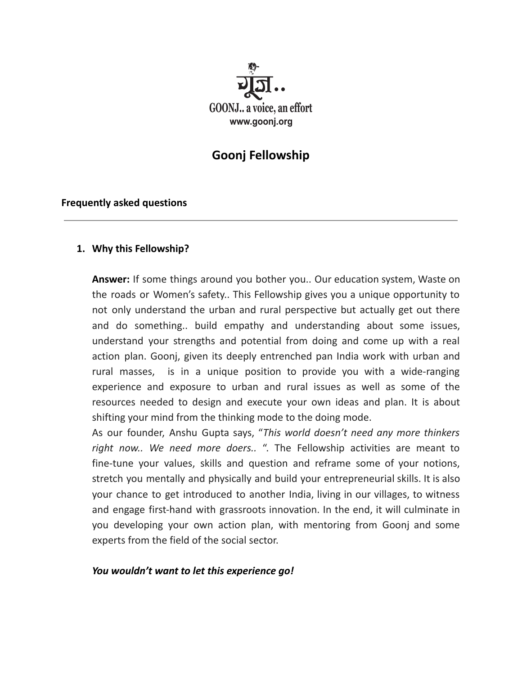

# **Goonj Fellowship**

#### **Frequently asked questions**

### **1. Why this Fellowship?**

**Answer:** If some things around you bother you.. Our education system, Waste on the roads or Women's safety.. This Fellowship gives you a unique opportunity to not only understand the urban and rural perspective but actually get out there and do something.. build empathy and understanding about some issues, understand your strengths and potential from doing and come up with a real action plan. Goonj, given its deeply entrenched pan India work with urban and rural masses, is in a unique position to provide you with a wide-ranging experience and exposure to urban and rural issues as well as some of the resources needed to design and execute your own ideas and plan. It is about shifting your mind from the thinking mode to the doing mode.

As our founder, Anshu Gupta says, "*This world doesn't need any more thinkers right now.. We need more doers..* ". The Fellowship activities are meant to fine-tune your values, skills and question and reframe some of your notions, stretch you mentally and physically and build your entrepreneurial skills. It is also your chance to get introduced to another India, living in our villages, to witness and engage first-hand with grassroots innovation. In the end, it will culminate in you developing your own action plan, with mentoring from Goonj and some experts from the field of the social sector.

#### *You wouldn't want to let this experience go!*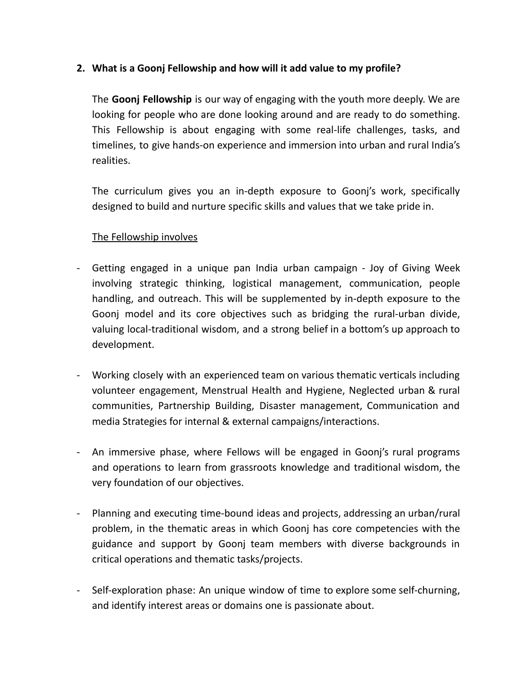## **2. What is a Goonj Fellowship and how will it add value to my profile?**

The **Goonj Fellowship** is our way of engaging with the youth more deeply. We are looking for people who are done looking around and are ready to do something. This Fellowship is about engaging with some real-life challenges, tasks, and timelines, to give hands-on experience and immersion into urban and rural India's realities.

The curriculum gives you an in-depth exposure to Goonj's work, specifically designed to build and nurture specific skills and values that we take pride in.

## The Fellowship involves

- Getting engaged in a unique pan India urban campaign Joy of Giving Week involving strategic thinking, logistical management, communication, people handling, and outreach. This will be supplemented by in-depth exposure to the Goonj model and its core objectives such as bridging the rural-urban divide, valuing local-traditional wisdom, and a strong belief in a bottom's up approach to development.
- Working closely with an experienced team on various thematic verticals including volunteer engagement, Menstrual Health and Hygiene, Neglected urban & rural communities, Partnership Building, Disaster management, Communication and media Strategies for internal & external campaigns/interactions.
- An immersive phase, where Fellows will be engaged in Goonj's rural programs and operations to learn from grassroots knowledge and traditional wisdom, the very foundation of our objectives.
- Planning and executing time-bound ideas and projects, addressing an urban/rural problem, in the thematic areas in which Goonj has core competencies with the guidance and support by Goonj team members with diverse backgrounds in critical operations and thematic tasks/projects.
- Self-exploration phase: An unique window of time to explore some self-churning, and identify interest areas or domains one is passionate about.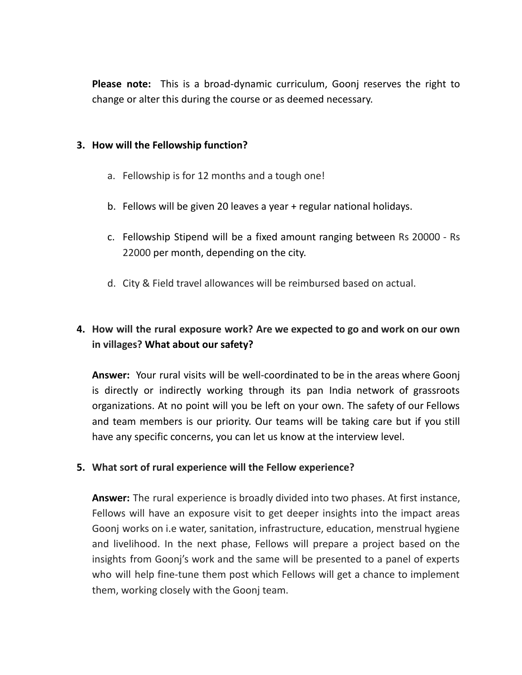**Please note:** This is a broad-dynamic curriculum, Goonj reserves the right to change or alter this during the course or as deemed necessary.

#### **3. How will the Fellowship function?**

- a. Fellowship is for 12 months and a tough one!
- b. Fellows will be given 20 leaves a year + regular national holidays.
- c. Fellowship Stipend will be a fixed amount ranging between Rs 20000 Rs 22000 per month, depending on the city.
- d. City & Field travel allowances will be reimbursed based on actual.

## **4. How will the rural exposure work? Are we expected to go and work on our own in villages? What about our safety?**

**Answer:** Your rural visits will be well-coordinated to be in the areas where Goonj is directly or indirectly working through its pan India network of grassroots organizations. At no point will you be left on your own. The safety of our Fellows and team members is our priority. Our teams will be taking care but if you still have any specific concerns, you can let us know at the interview level.

## **5. What sort of rural experience will the Fellow experience?**

**Answer:** The rural experience is broadly divided into two phases. At first instance, Fellows will have an exposure visit to get deeper insights into the impact areas Goonj works on i.e water, sanitation, infrastructure, education, menstrual hygiene and livelihood. In the next phase, Fellows will prepare a project based on the insights from Goonj's work and the same will be presented to a panel of experts who will help fine-tune them post which Fellows will get a chance to implement them, working closely with the Goonj team.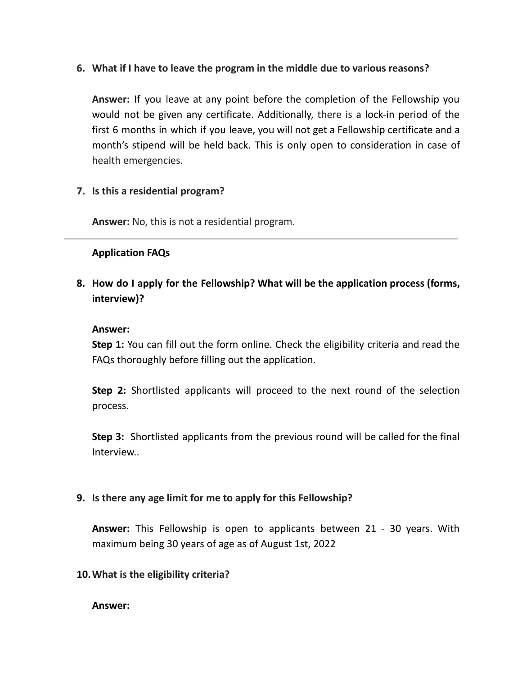**6. What if I have to leave the program in the middle due to various reasons?**

**Answer:** If you leave at any point before the completion of the Fellowship you would not be given any certificate. Additionally, there is a lock-in period of the first 6 months in which if you leave, you will not get a Fellowship certificate and a month's stipend will be held back. This is only open to consideration in case of health emergencies.

## **7. Is this a residential program?**

**Answer:** No, this is not a residential program.

### **Application FAQs**

**8. How do I apply for the Fellowship? What will be the application process (forms, interview)?**

#### **Answer:**

**Step 1:** You can fill out the form online. Check the eligibility criteria and read the FAQs thoroughly before filling out the application.

**Step 2:** Shortlisted applicants will proceed to the next round of the selection process.

**Step 3:** Shortlisted applicants from the previous round will be called for the final Interview..

#### **9. Is there any age limit for me to apply for this Fellowship?**

**Answer:** This Fellowship is open to applicants between 21 - 30 years. With maximum being 30 years of age as of August 1st, 2022

#### **10.What is the eligibility criteria?**

**Answer:**